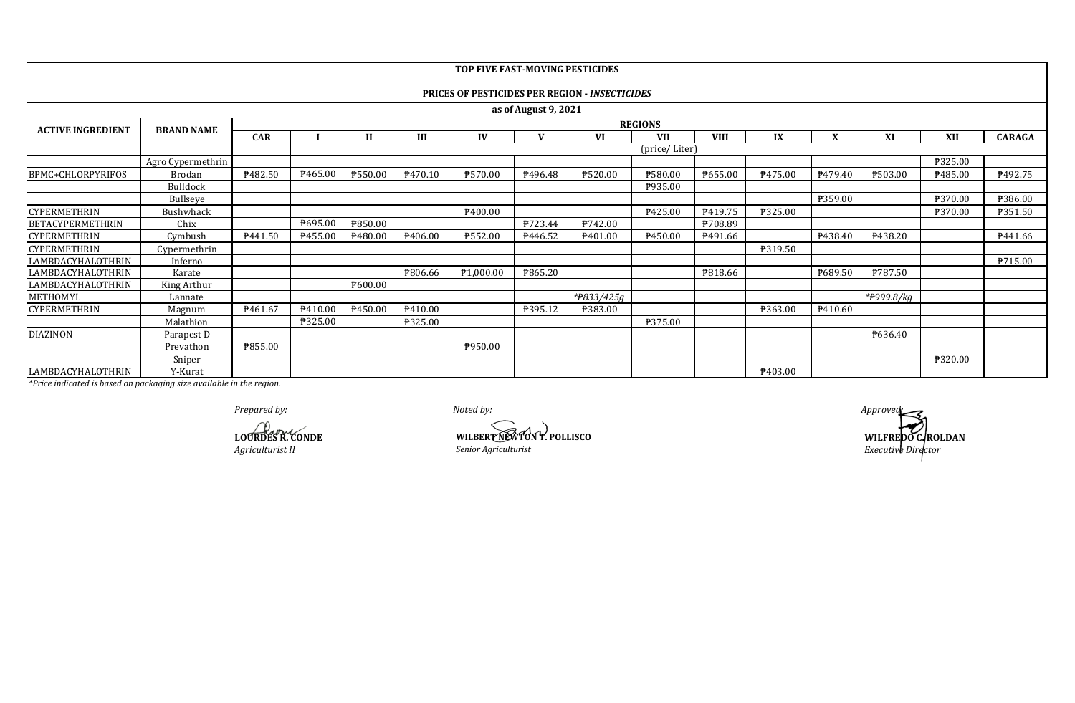|                          |                   |                  |               |         |                     | TOP FIVE FAST-MOVING PESTICIDES |              |                                                       |                |             |                     |              |            |         |                |
|--------------------------|-------------------|------------------|---------------|---------|---------------------|---------------------------------|--------------|-------------------------------------------------------|----------------|-------------|---------------------|--------------|------------|---------|----------------|
|                          |                   |                  |               |         |                     |                                 |              |                                                       |                |             |                     |              |            |         |                |
|                          |                   |                  |               |         |                     |                                 |              | <b>PRICES OF PESTICIDES PER REGION - INSECTICIDES</b> |                |             |                     |              |            |         |                |
| as of August 9, 2021     |                   |                  |               |         |                     |                                 |              |                                                       |                |             |                     |              |            |         |                |
|                          |                   |                  |               |         |                     |                                 |              |                                                       | <b>REGIONS</b> |             |                     |              |            |         |                |
| <b>ACTIVE INGREDIENT</b> | <b>BRAND NAME</b> | <b>CAR</b>       |               |         | Ш                   | IV                              | $\mathbf{V}$ | VI                                                    | <b>VII</b>     | <b>VIII</b> | IX                  | $\mathbf{v}$ | XI         | XII     | <b>CARAGA</b>  |
|                          |                   |                  | (price/Liter) |         |                     |                                 |              |                                                       |                |             |                     |              |            |         |                |
|                          | Agro Cypermethrin |                  |               |         |                     |                                 |              |                                                       |                |             |                     |              |            | ₱325.00 |                |
| BPMC+CHLORPYRIFOS        | Brodan            | <b>\\$482.50</b> | P465.00       | P550.00 | P470.10             | ₱570.00                         | P496.48      | ₱520.00                                               | ₱580.00        | P655.00     | P475.00             | P479.40      | ₱503.00    | ₱485.00 | P492.75        |
|                          | Bulldock          |                  |               |         |                     |                                 |              |                                                       | P935.00        |             |                     |              |            |         |                |
|                          | Bullseye          |                  |               |         |                     |                                 |              |                                                       |                |             |                     | ₱359.00      |            | ₱370.00 | ₹386.00        |
| <b>CYPERMETHRIN</b>      | Bushwhack         |                  |               |         |                     | P400.00                         |              |                                                       | P425.00        | P419.75     | ₱325.00             |              |            | ₱370.00 | <b>P351.50</b> |
| <b>BETACYPERMETHRIN</b>  | Chix              |                  | P695.00       | ₱850.00 |                     |                                 | P723.44      | ₱742.00                                               |                | P708.89     |                     |              |            |         |                |
| <b>CYPERMETHRIN</b>      | Cymbush           | P441.50          | P455.00       | P480.00 | P406.00             | ₱552.00                         | P446.52      | P <sub>401.00</sub>                                   | P450.00        | P491.66     |                     | P438.40      | ₹438.20    |         | P441.66        |
| <b>CYPERMETHRIN</b>      | Cypermethrin      |                  |               |         |                     |                                 |              |                                                       |                |             | P319.50             |              |            |         |                |
| <b>LAMBDACYHALOTHRIN</b> | Inferno           |                  |               |         |                     |                                 |              |                                                       |                |             |                     |              |            |         | <b>P715.00</b> |
| LAMBDACYHALOTHRIN        | Karate            |                  |               |         | ₱806.66             | ₱1,000.00                       | ₱865.20      |                                                       |                | P818.66     |                     | P689.50      | ₱787.50    |         |                |
| LAMBDACYHALOTHRIN        | King Arthur       |                  |               | P600.00 |                     |                                 |              |                                                       |                |             |                     |              |            |         |                |
| METHOMYL                 | Lannate           |                  |               |         |                     |                                 |              | *#833/425g                                            |                |             |                     |              | *#999.8/kg |         |                |
| <b>CYPERMETHRIN</b>      | Magnum            | P461.67          | P410.00       | P450.00 | P <sub>410.00</sub> |                                 | P395.12      | ₱383.00                                               |                |             | ₱363.00             | P410.60      |            |         |                |
|                          | Malathion         |                  | ₱325.00       |         | <b>P325.00</b>      |                                 |              |                                                       | ₱375.00        |             |                     |              |            |         |                |
| <b>DIAZINON</b>          | Parapest D        |                  |               |         |                     |                                 |              |                                                       |                |             |                     |              | P636.40    |         |                |
|                          | Prevathon         | <b>P855.00</b>   |               |         |                     | P950.00                         |              |                                                       |                |             |                     |              |            |         |                |
|                          | Sniper            |                  |               |         |                     |                                 |              |                                                       |                |             |                     |              |            | ₱320.00 |                |
| LAMBDACYHALOTHRIN        | Y-Kurat           |                  |               |         |                     |                                 |              |                                                       |                |             | P <sub>403.00</sub> |              |            |         |                |

*Prepared by: Noted by: Approved:*

**LOURDES R. CONDE**<br>Agriculturist II *Agriculturist II Senior Agriculturist Agriculturist II Senior Agriculturist*

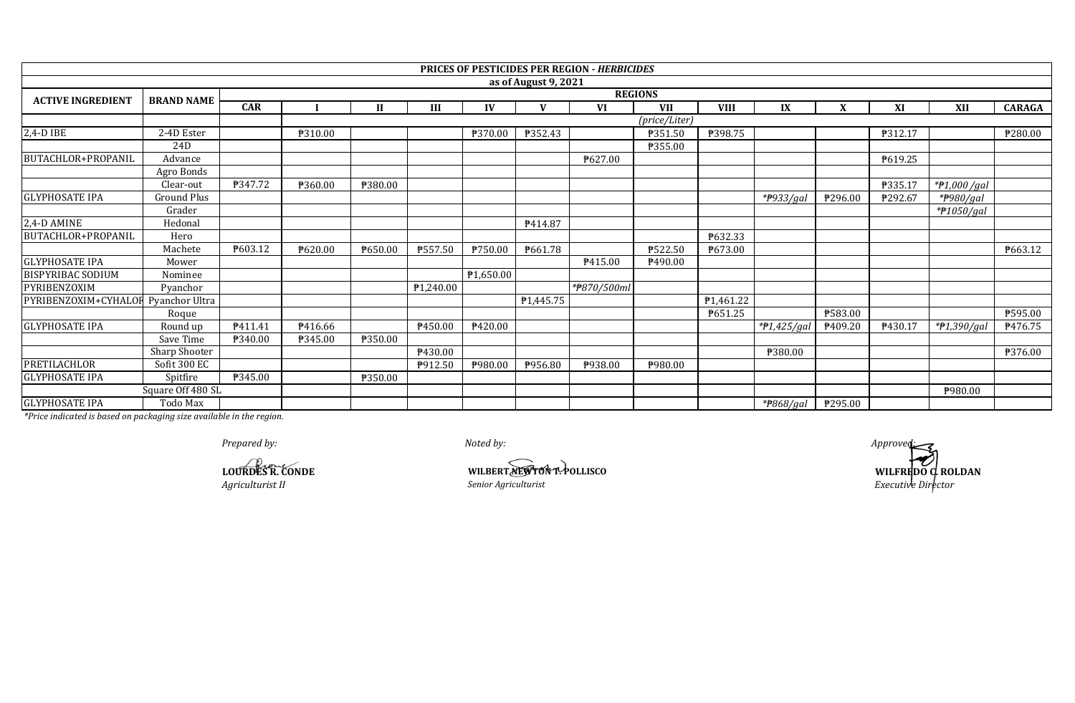|                                     |                   |                |                |              |           |           |                      | <b>PRICES OF PESTICIDES PER REGION - HERBICIDES</b> |               |             |             |         |         |               |               |
|-------------------------------------|-------------------|----------------|----------------|--------------|-----------|-----------|----------------------|-----------------------------------------------------|---------------|-------------|-------------|---------|---------|---------------|---------------|
|                                     |                   |                |                |              |           |           | as of August 9, 2021 |                                                     |               |             |             |         |         |               |               |
| <b>ACTIVE INGREDIENT</b>            | <b>BRAND NAME</b> | <b>REGIONS</b> |                |              |           |           |                      |                                                     |               |             |             |         |         |               |               |
|                                     |                   | <b>CAR</b>     |                | $\mathbf{I}$ | III       | IV        | $\mathbf{V}$         | <b>VI</b>                                           | <b>VII</b>    | <b>VIII</b> | IX          | X       | XI      | XII           | <b>CARAGA</b> |
|                                     |                   |                |                |              |           |           |                      |                                                     | (price/Liter) |             |             |         |         |               |               |
| 2,4-D IBE                           | 2-4D Ester        |                | ₱310.00        |              |           | ₱370.00   | P352.43              |                                                     | ₱351.50       | ₱398.75     |             |         | ₱312.17 |               | ₱280.00       |
|                                     | 24D               |                |                |              |           |           |                      |                                                     | P355.00       |             |             |         |         |               |               |
| <b>BUTACHLOR+PROPANIL</b>           | Advance           |                |                |              |           |           |                      | ₱627.00                                             |               |             |             |         | P619.25 |               |               |
|                                     | Agro Bonds        |                |                |              |           |           |                      |                                                     |               |             |             |         |         |               |               |
|                                     | Clear-out         | P347.72        | ₱360.00        | ₱380.00      |           |           |                      |                                                     |               |             |             |         | ₱335.17 | $*P1,000/gal$ |               |
| <b>GLYPHOSATE IPA</b>               | Ground Plus       |                |                |              |           |           |                      |                                                     |               |             | *#933/gal   | P296.00 | ₱292.67 | *#980/gal     |               |
|                                     | Grader            |                |                |              |           |           |                      |                                                     |               |             |             |         |         | * $f1050/gal$ |               |
| 2,4-D AMINE                         | Hedonal           |                |                |              |           |           | P414.87              |                                                     |               |             |             |         |         |               |               |
| <b>BUTACHLOR+PROPANIL</b>           | Hero              |                |                |              |           |           |                      |                                                     |               | ₱632.33     |             |         |         |               |               |
|                                     | Machete           | P603.12        | ₱620.00        | P650.00      | ₱557.50   | ₱750.00   | ₱661.78              |                                                     | ₱522.50       | ₱673.00     |             |         |         |               | P663.12       |
| <b>GLYPHOSATE IPA</b>               | Mower             |                |                |              |           |           |                      | P415.00                                             | ₱490.00       |             |             |         |         |               |               |
| <b>BISPYRIBAC SODIUM</b>            | Nominee           |                |                |              |           | ₱1,650.00 |                      |                                                     |               |             |             |         |         |               |               |
| PYRIBENZOXIM                        | Pyanchor          |                |                |              | ₱1,240.00 |           |                      | *#870/500ml                                         |               |             |             |         |         |               |               |
| PYRIBENZOXIM+CYHALOF Pyanchor Ultra |                   |                |                |              |           |           | <b>₱1,445.75</b>     |                                                     |               | P1,461.22   |             |         |         |               |               |
|                                     | Roque             |                |                |              |           |           |                      |                                                     |               | P651.25     |             | ₱583.00 |         |               | P595.00       |
| <b>GLYPHOSATE IPA</b>               | Round up          | P411.41        | P416.66        |              | ₱450.00   | P420.00   |                      |                                                     |               |             | *P1,425/gal | P409.20 | P430.17 | $*P1,390/gal$ | ₱476.75       |
|                                     | Save Time         | P340.00        | <b>P345.00</b> | ₱350.00      |           |           |                      |                                                     |               |             |             |         |         |               |               |
|                                     | Sharp Shooter     |                |                |              | ₱430.00   |           |                      |                                                     |               |             | ₱380.00     |         |         |               | ₱376.00       |
| <b>PRETILACHLOR</b>                 | Sofit 300 EC      |                |                |              | P912.50   | ₱980.00   | P956.80              | P938.00                                             | P980.00       |             |             |         |         |               |               |
| <b>GLYPHOSATE IPA</b>               | Spitfire          | P345.00        |                | ₱350.00      |           |           |                      |                                                     |               |             |             |         |         |               |               |
|                                     | Square Off 480 SL |                |                |              |           |           |                      |                                                     |               |             |             |         |         | ₱980.00       |               |
| <b>GLYPHOSATE IPA</b>               | Todo Max          |                |                |              |           |           |                      |                                                     |               |             | *#868/gal   | ₱295.00 |         |               |               |

*Prepared by: Noted by: Approved:*

*Agriculturist II Senior Agriculturist Executive Director* **LOURDES R. CONDE**<br>Agriculturist II *Senior Agriculturist* 

**WILFREDO C. ROLDAN**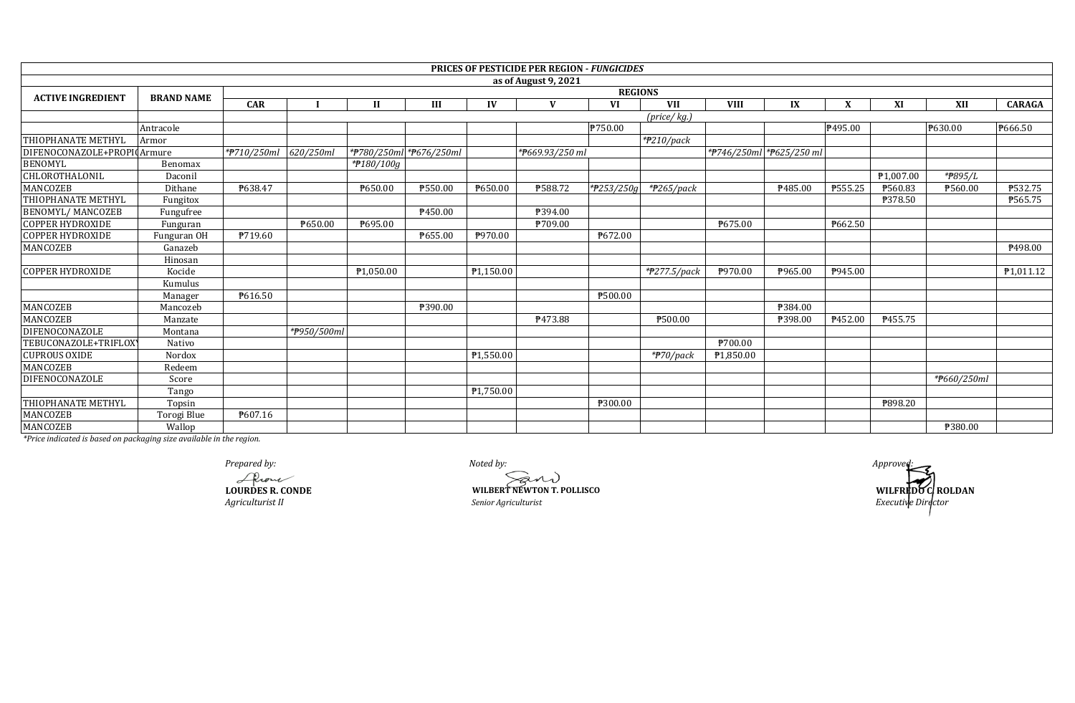|                             |                   |             |             |                         |         |           | <b>PRICES OF PESTICIDE PER REGION - FUNGICIDES</b> |                |                             |             |                          |                |                       |             |               |
|-----------------------------|-------------------|-------------|-------------|-------------------------|---------|-----------|----------------------------------------------------|----------------|-----------------------------|-------------|--------------------------|----------------|-----------------------|-------------|---------------|
|                             |                   |             |             |                         |         |           | as of August 9, 2021                               |                |                             |             |                          |                |                       |             |               |
| <b>ACTIVE INGREDIENT</b>    | <b>BRAND NAME</b> |             |             |                         |         |           |                                                    | <b>REGIONS</b> |                             |             |                          |                |                       |             |               |
|                             |                   | <b>CAR</b>  |             | $\mathbf{I}$            | III     | IV        | V                                                  | VI             | <b>VII</b>                  | <b>VIII</b> | IX                       | X              | XI                    | <b>XII</b>  | <b>CARAGA</b> |
|                             |                   |             |             |                         |         |           |                                                    |                | $(\text{price}/\text{kg.})$ |             |                          |                |                       |             |               |
|                             | Antracole         |             |             |                         |         |           |                                                    | ₱750.00        |                             |             |                          | P495.00        |                       | ₱630.00     | P666.50       |
| THIOPHANATE METHYL          | Armor             |             |             |                         |         |           |                                                    |                | $*$ P210/pack               |             |                          |                |                       |             |               |
| DIFENOCONAZOLE+PROPI0Armure |                   | *#710/250ml | 620/250ml   | *P780/250ml *P676/250ml |         |           | *P669.93/250 ml                                    |                |                             |             | *#746/250ml *#625/250 ml |                |                       |             |               |
| <b>BENOMYL</b>              | Benomax           |             |             | *#180/100g              |         |           |                                                    |                |                             |             |                          |                |                       |             |               |
| CHLOROTHALONIL              | Daconil           |             |             |                         |         |           |                                                    |                |                             |             |                          |                | P <sub>1.007.00</sub> | *#895/L     |               |
| <b>MANCOZEB</b>             | Dithane           | P638.47     |             | ₱650.00                 | ₱550.00 | ₱650.00   | ₱588.72                                            | *P253/250g     | $*$ P265/pack               |             | P485.00                  | ₱555.25        | ₱560.83               | ₱560.00     | P532.75       |
| THIOPHANATE METHYL          | Fungitox          |             |             |                         |         |           |                                                    |                |                             |             |                          |                | ₱378.50               |             | ₱565.75       |
| <b>BENOMYL/ MANCOZEB</b>    | Fungufree         |             |             |                         | P450.00 |           | ₱394.00                                            |                |                             |             |                          |                |                       |             |               |
| <b>COPPER HYDROXIDE</b>     | Funguran          |             | ₱650.00     | P695.00                 |         |           | ₱709.00                                            |                |                             | ₱675.00     |                          | ₱662.50        |                       |             |               |
| <b>COPPER HYDROXIDE</b>     | Funguran OH       | P719.60     |             |                         | P655.00 | ₱970.00   |                                                    | ₱672.00        |                             |             |                          |                |                       |             |               |
| MANCOZEB                    | Ganazeb           |             |             |                         |         |           |                                                    |                |                             |             |                          |                |                       |             | P498.00       |
|                             | Hinosan           |             |             |                         |         |           |                                                    |                |                             |             |                          |                |                       |             |               |
| <b>COPPER HYDROXIDE</b>     | Kocide            |             |             | P1,050.00               |         | P1,150.00 |                                                    |                | $*$ <sup>277.5</sup> /pack  | P970.00     | P965.00                  | <b>\945.00</b> |                       |             | P1,011.12     |
|                             | Kumulus           |             |             |                         |         |           |                                                    |                |                             |             |                          |                |                       |             |               |
|                             | Manager           | P616.50     |             |                         |         |           |                                                    | P500.00        |                             |             |                          |                |                       |             |               |
| MANCOZEB                    | Mancozeb          |             |             |                         | ₱390.00 |           |                                                    |                |                             |             | P384.00                  |                |                       |             |               |
| <b>MANCOZEB</b>             | Manzate           |             |             |                         |         |           | ₱473.88                                            |                | ₱500.00                     |             | P398.00                  | ₱452.00        | ₱455.75               |             |               |
| DIFENOCONAZOLE              | Montana           |             | *P950/500ml |                         |         |           |                                                    |                |                             |             |                          |                |                       |             |               |
| TEBUCONAZOLE+TRIFLOX        | Nativo            |             |             |                         |         |           |                                                    |                |                             | ₱700.00     |                          |                |                       |             |               |
| <b>CUPROUS OXIDE</b>        | Nordox            |             |             |                         |         | P1,550.00 |                                                    |                | $*$ P70/pack                | ₱1.850.00   |                          |                |                       |             |               |
| MANCOZEB                    | Redeem            |             |             |                         |         |           |                                                    |                |                             |             |                          |                |                       |             |               |
| <b>DIFENOCONAZOLE</b>       | Score             |             |             |                         |         |           |                                                    |                |                             |             |                          |                |                       | *#660/250ml |               |
|                             | Tango             |             |             |                         |         | P1,750.00 |                                                    |                |                             |             |                          |                |                       |             |               |
| THIOPHANATE METHYL          | Topsin            |             |             |                         |         |           |                                                    | ₱300.00        |                             |             |                          |                | ₱898.20               |             |               |
| MANCOZEB                    | Torogi Blue       | P607.16     |             |                         |         |           |                                                    |                |                             |             |                          |                |                       |             |               |
| MANCOZEB                    | Wallop            |             |             |                         |         |           |                                                    |                |                             |             |                          |                |                       | ₱380.00     |               |

*Agriculturist II Benior Agriculturist Executive Director*<sup>*Senior Agriculturist*</sup>

*Prepared by:*<br> *Approved:*<br> **A**<br> **CONDES R. CONDE**<br> **CONDES R. CONDE**<br> **CONDES R. CONDE LOURDES R. CONDE WILBERT NEWTON T. POLLISCO**

**WILFREDO C. ROLDAN**<br>*Executive Director*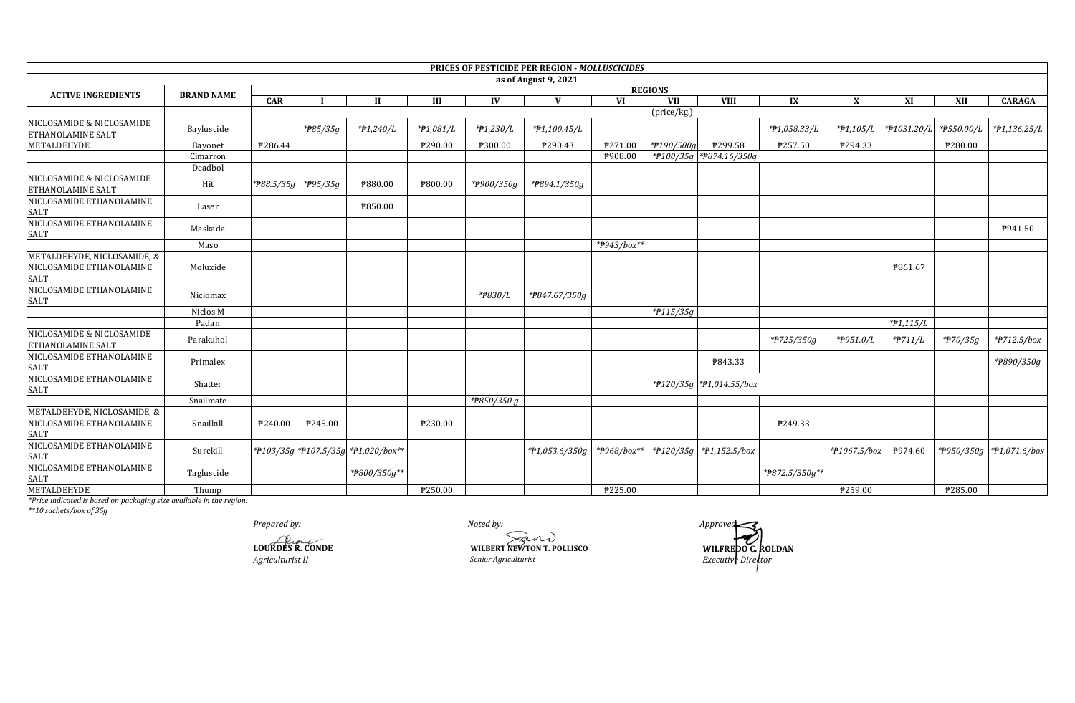|                                                                        |                   |               |          |                                     |                |             | PRICES OF PESTICIDE PER REGION - MOLLUSCICIDES |             |                      |                          |              |              |             |                     |                            |
|------------------------------------------------------------------------|-------------------|---------------|----------|-------------------------------------|----------------|-------------|------------------------------------------------|-------------|----------------------|--------------------------|--------------|--------------|-------------|---------------------|----------------------------|
|                                                                        |                   |               |          |                                     |                |             | as of August 9, 2021                           |             |                      |                          |              |              |             |                     |                            |
| <b>ACTIVE INGREDIENTS</b>                                              | <b>BRAND NAME</b> |               |          |                                     |                |             |                                                |             | <b>REGIONS</b>       |                          |              |              |             |                     |                            |
|                                                                        |                   | <b>CAR</b>    |          | $\mathbf{H}$                        | Ш              | IV          | V                                              | <b>VI</b>   | <b>VII</b>           | <b>VIII</b>              | IX           | X            | XI          | XII                 | <b>CARAGA</b>              |
|                                                                        |                   |               |          |                                     |                |             |                                                |             | (price/kg.)          |                          |              |              |             |                     |                            |
| NICLOSAMIDE & NICLOSAMIDE<br><b>ETHANOLAMINE SALT</b>                  | Bayluscide        |               | *#85/35g | $*P1,240/L$                         | $*P1,081/L$    | *#1,230/L   | $*P1,100.45/L$                                 |             |                      |                          | *#1,058.33/L | $*P1,105/L$  | *#1031.20/L | *#550.00/L          | *#1,136.25/L               |
| METALDEHYDE                                                            | Bayonet           | P286.44       |          |                                     | ₱290.00        | ₱300.00     | P290.43                                        | P271.00     | *P190/500g           | ₱299.58                  | ₱257.50      | P294.33      |             | P280.00             |                            |
|                                                                        | Cimarron          |               |          |                                     |                |             |                                                | P908.00     |                      | *P100/35g *P874.16/350g  |              |              |             |                     |                            |
|                                                                        | Deadbol           |               |          |                                     |                |             |                                                |             |                      |                          |              |              |             |                     |                            |
| NICLOSAMIDE & NICLOSAMIDE<br>ETHANOLAMINE SALT                         | Hit               | * $788.5/35q$ | *#95/35g | ₱880.00                             | <b>P800.00</b> | *P900/350g  | *P894.1/350g                                   |             |                      |                          |              |              |             |                     |                            |
| NICLOSAMIDE ETHANOLAMINE<br><b>SALT</b>                                | Laser             |               |          | ₱850.00                             |                |             |                                                |             |                      |                          |              |              |             |                     |                            |
| NICLOSAMIDE ETHANOLAMINE<br><b>SALT</b>                                | Maskada           |               |          |                                     |                |             |                                                |             |                      |                          |              |              |             |                     | P941.50                    |
|                                                                        | Maso              |               |          |                                     |                |             |                                                |             |                      |                          |              |              |             |                     |                            |
| METALDEHYDE, NICLOSAMIDE, &<br>NICLOSAMIDE ETHANOLAMINE<br><b>SALT</b> | Moluxide          |               |          |                                     |                |             |                                                |             |                      |                          |              |              | ₱861.67     |                     |                            |
| NICLOSAMIDE ETHANOLAMINE<br><b>SALT</b>                                | Niclomax          |               |          |                                     |                | *#830/L     | *P847.67/350g                                  |             |                      |                          |              |              |             |                     |                            |
|                                                                        | Niclos M          |               |          |                                     |                |             |                                                |             | $*$ 115/35g          |                          |              |              |             |                     |                            |
|                                                                        | Padan             |               |          |                                     |                |             |                                                |             |                      |                          |              |              | $*P1,115/L$ |                     |                            |
| NICLOSAMIDE & NICLOSAMIDE<br><b>ETHANOLAMINE SALT</b>                  | Parakuhol         |               |          |                                     |                |             |                                                |             |                      |                          | *#725/350g   | *P951.0/L    | *#711/L     | $*$ <b>P</b> 70/35g | $*$ <sup>2</sup> 712.5/box |
| NICLOSAMIDE ETHANOLAMINE<br><b>SALT</b>                                | Primalex          |               |          |                                     |                |             |                                                |             |                      | P843.33                  |              |              |             |                     | *#890/350g                 |
| NICLOSAMIDE ETHANOLAMINE<br><b>SALT</b>                                | Shatter           |               |          |                                     |                |             |                                                |             |                      | *#120/35g *#1,014.55/box |              |              |             |                     |                            |
|                                                                        | Snailmate         |               |          |                                     |                | *P850/350 g |                                                |             |                      |                          |              |              |             |                     |                            |
| METALDEHYDE, NICLOSAMIDE, &<br>NICLOSAMIDE ETHANOLAMINE<br><b>SALT</b> | Snailkill         | P240.00       | P245.00  |                                     | ₱230.00        |             |                                                |             |                      |                          | P249.33      |              |             |                     |                            |
| NICLOSAMIDE ETHANOLAMINE<br><b>SALT</b>                                | Surekill          |               |          | *P103/35g *P107.5/35g *P1,020/box** |                |             | $*P1,053.6/350g$                               | *#968/box** | $*$ <b>P</b> 120/35g | $*P1,152.5/box$          |              | *#1067.5/box | P974.60     |                     | *P950/350g *P1,071.6/box   |
| NICLOSAMIDE ETHANOLAMINE<br><b>SALT</b>                                | Tagluscide        |               |          |                                     |                |             |                                                |             |                      |                          |              |              |             |                     |                            |
| METALDEHYDE                                                            | Thump             |               |          |                                     | P250.00        |             |                                                | ₹225.00     |                      |                          |              | ₱259.00      |             | ₱285.00             |                            |

The indicated is based on packaging size available in the region.<br>\*\*10 sachets/box of 35g

Prepared by:

LOURDES R. CONDE Agriculturist II

Noted by: WILBERT NEWTON T. POLLISCO Senior Agriculturist